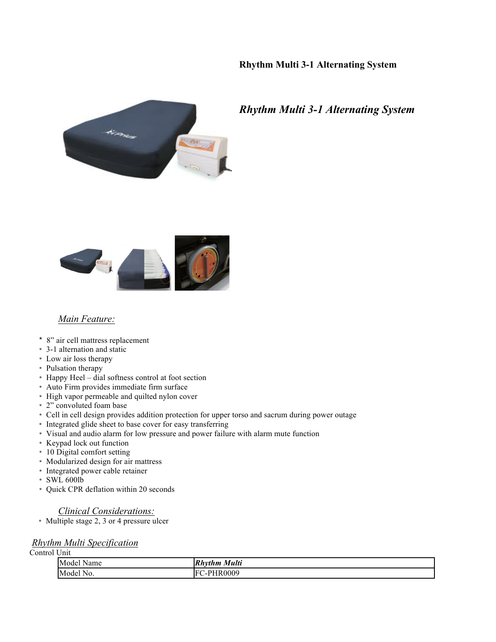# **Rhythm Multi 3-1 Alternating System**



# *Rhythm Multi 3-1 Alternating System*



### *Main Feature:*

- \* 8" air cell mattress replacement
- \* 3-1 alternation and static
- \* Low air loss therapy
- \* Pulsation therapy
- \* Happy Heel dial softness control at foot section
- \* Auto Firm provides immediate firm surface
- \* High vapor permeable and quilted nylon cover
- \* 2" convoluted foam base
- \* Cell in cell design provides addition protection for upper torso and sacrum during power outage
- \* Integrated glide sheet to base cover for easy transferring
- \* Visual and audio alarm for low pressure and power failure with alarm mute function
- \* Keypad lock out function
- \* 10 Digital comfort setting
- \* Modularized design for air mattress
- \* Integrated power cable retainer
- \* SWL 600lb
- \* Quick CPR deflation within 20 seconds

#### *Clinical Considerations:*

\* Multiple stage 2, 3 or 4 pressure ulcer

## *Rhythm Multi Specification*

Control Unit

| Model Name | Multi<br><b>Rhythm</b>  |
|------------|-------------------------|
| Model No.  | <b>HR0009</b><br>$-PHT$ |